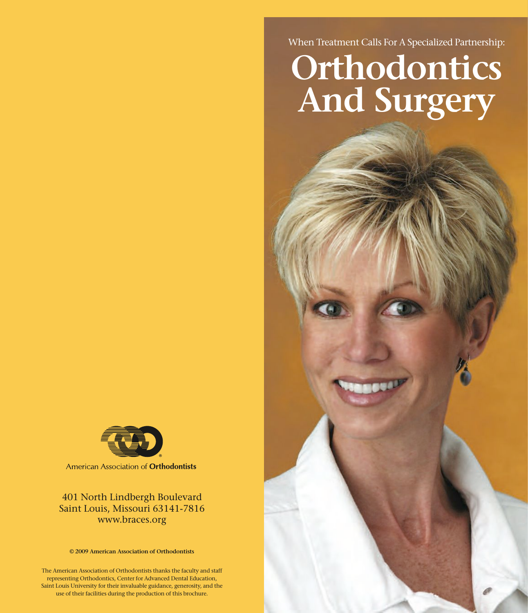When Treatment Calls For A Specialized Partnership:

# **Orthodontics And Surgery**



American Association of Orthodontists

www.braces.org www.braces.org 401 North Lindbergh Boulevard<br>
Saint Louis, Missouri 63141-7816<br>
www.braces.org<br>
© 2009 American Association of Orthodontists<br>
erican Association of Orthodontists<br>
tenting Orthodontics, Center for Advanced Dental Educ<br>
uis Saint Louis, Missouri 63141-7816

401 North Lindbergh Boulevard **© 2009 American Association of Orthodontists**

The American Association of Orthodontists thanks the faculty and staff<br>contraction Orthodontists Center for Advanced Dartel Education use of their facilities during the production of this brochure. representing Orthodontics, Center for Advanced Dental Education, Saint Louis University for their invaluable guidance, generosity, and the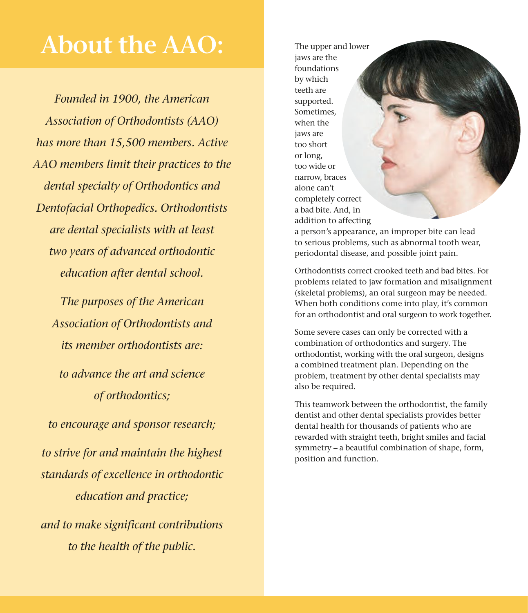## **About the AAO:**

*Founded in 1900, the American Association of Orthodontists (AAO) has more than 15,500 members. Active AAO members limit their practices to the dental specialty of Orthodontics and Dentofacial Orthopedics. Orthodontists are dental specialists with at least two years of advanced orthodontic education after dental school.*

*The purposes of the American Association of Orthodontists and its member orthodontists are:*

*to advance the art and science of orthodontics;*

*to encourage and sponsor research; to strive for and maintain the highest standards of excellence in orthodontic education and practice; and to make significant contributions to the health of the public.*

The upper and lower jaws are the foundations by which teeth are supported. Sometimes, when the jaws are too short or long, too wide or narrow, braces alone can't completely correct a bad bite. And, in addition to affecting

a person's appearance, an improper bite can lead to serious problems, such as abnormal tooth wear, periodontal disease, and possible joint pain.

Orthodontists correct crooked teeth and bad bites. For problems related to jaw formation and misalignment (skeletal problems), an oral surgeon may be needed. When both conditions come into play, it's common for an orthodontist and oral surgeon to work together.

Some severe cases can only be corrected with a combination of orthodontics and surgery. The orthodontist, working with the oral surgeon, designs a combined treatment plan. Depending on the problem, treatment by other dental specialists may also be required.

This teamwork between the orthodontist, the family dentist and other dental specialists provides better dental health for thousands of patients who are rewarded with straight teeth, bright smiles and facial symmetry – a beautiful combination of shape, form, position and function.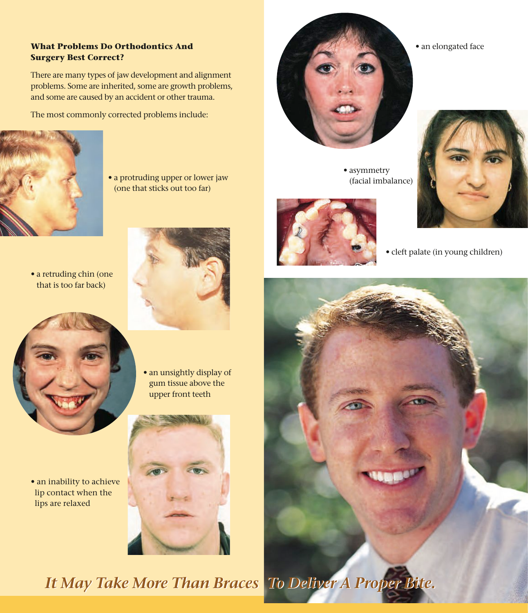#### **What Problems Do Orthodontics And Surgery Best Correct?**

There are many types of jaw development and alignment problems. Some are inherited, some are growth problems, and some are caused by an accident or other trauma.

The most commonly corrected problems include:



• a protruding upper or lower jaw (one that sticks out too far)

• a retruding chin (one that is too far back)





• an inability to achieve lip contact when the lips are relaxed





• an elongated face

• cleft palate (in young children)

• asymmetry (facial imbalance)

*It May Take More Than Braces To Deliver A Proper Bite. It May Take More Than Braces To Deliver A Proper Bite.*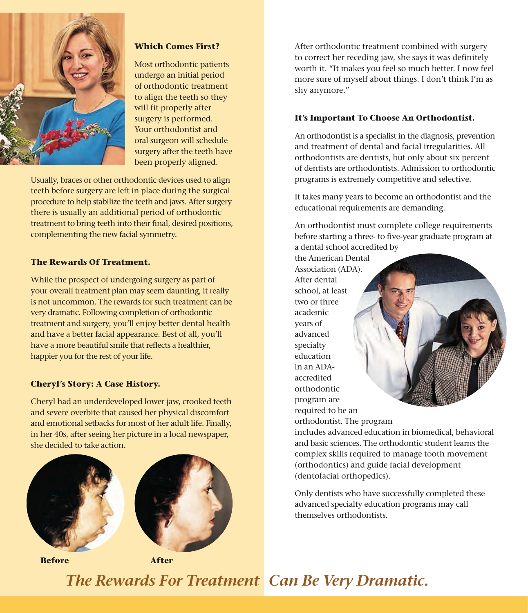

#### **Which Comes First?**

Most orthodontic patients undergo an initial period of orthodontic treatment to align the teeth so they will fit properly after surgery is performed. Your orthodontist and oral surgeon will schedule surgery after the teeth have been properly aligned.

Usually, braces or other orthodontic devices used to align teeth before surgery are left in place during the surgical procedure to help stabilize the teeth and jaws. After surgery there is usually an additional period of orthodontic treatment to bring teeth into their final, desired positions, complementing the new facial symmetry.

#### **The Rewards Of Treatment.**

While the prospect of undergoing surgery as part of your overall treatment plan may seem daunting, it really is not uncommon. The rewards for such treatment can be very dramatic. Following completion of orthodontic treatment and surgery, you'll enjoy better dental health and have a better facial appearance. Best of all, you'll have a more beautiful smile that reflects a healthier, happier you for the rest of your life.

#### **Cheryl's Story: A Case History.**

Cheryl had an underdeveloped lower jaw, crooked teeth and severe overbite that caused her physical discomfort and emotional setbacks for most of her adult life. Finally, in her 40s, after seeing her picture in a local newspaper, she decided to take action.





**Before After**

After orthodontic treatment combined with surgery to correct her receding jaw, she says it was definitely worth it. "It makes you feel so much better. I now feel more sure of myself about things. I don't think I'm as shy anymore."

#### **It's Important To Choose An Orthodontist.**

An orthodontist is a specialist in the diagnosis, prevention and treatment of dental and facial irregularities. All orthodontists are dentists, but only about six percent of dentists are orthodontists. Admission to orthodontic programs is extremely competitive and selective.

It takes many years to become an orthodontist and the educational requirements are demanding.

An orthodontist must complete college requirements before starting a three- to five-year graduate program at a dental school accredited by

the American Dental Association (ADA). After dental school, at least two or three academic years of advanced specialty education in an ADAaccredited orthodontic program are required to be an

orthodontist. The program

includes advanced education in biomedical, behavioral and basic sciences. The orthodontic student learns the complex skills required to manage tooth movement (orthodontics) and guide facial development (dentofacial orthopedics).

Only dentists who have successfully completed these advanced specialty education programs may call themselves orthodontists.

### *The Rewards For Treatment Can Be Very Dramatic.*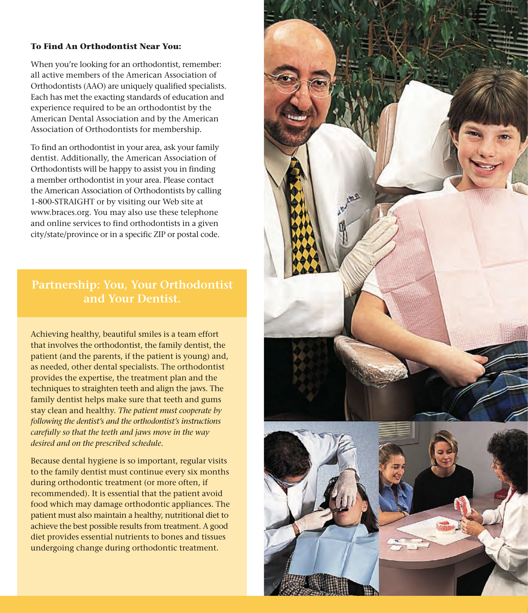#### **To Find An Orthodontist Near You:**

When you're looking for an orthodontist, remember: all active members of the American Association of Orthodontists (AAO) are uniquely qualified specialists. Each has met the exacting standards of education and experience required to be an orthodontist by the American Dental Association and by the American Association of Orthodontists for membership.

To find an orthodontist in your area, ask your family dentist. Additionally, the American Association of Orthodontists will be happy to assist you in finding a member orthodontist in your area. Please contact the American Association of Orthodontists by calling 1-800-STRAIGHT or by visiting our Web site at www.braces.org. You may also use these telephone and online services to find orthodontists in a given city/state/province or in a specific ZIP or postal code.

#### **Partnership: You, Your Orthodontist and Your Dentist.**

Achieving healthy, beautiful smiles is a team effort that involves the orthodontist, the family dentist, the patient (and the parents, if the patient is young) and, as needed, other dental specialists. The orthodontist provides the expertise, the treatment plan and the techniques to straighten teeth and align the jaws. The family dentist helps make sure that teeth and gums stay clean and healthy. *The patient must cooperate by following the dentist's and the orthodontist's instructions carefully so that the teeth and jaws move in the way desired and on the prescribed schedule.*

Because dental hygiene is so important, regular visits to the family dentist must continue every six months during orthodontic treatment (or more often, if recommended). It is essential that the patient avoid food which may damage orthodontic appliances. The patient must also maintain a healthy, nutritional diet to achieve the best possible results from treatment. A good diet provides essential nutrients to bones and tissues undergoing change during orthodontic treatment.